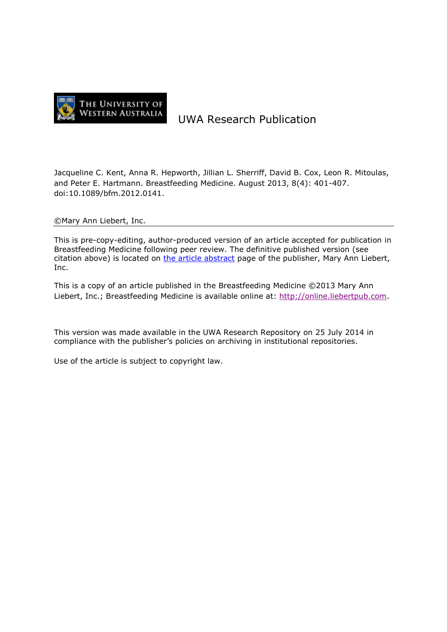

# UWA Research Publication

Jacqueline C. Kent, Anna R. Hepworth, Jillian L. Sherriff, David B. Cox, Leon R. Mitoulas, and Peter E. Hartmann. Breastfeeding Medicine. August 2013, 8(4): 401-407. doi:10.1089/bfm.2012.0141.

#### ©Mary Ann Liebert, Inc.

This is pre-copy-editing, author-produced version of an article accepted for publication in Breastfeeding Medicine following peer review. The definitive published version (see citation above) is located on [the article abstract](http://dx.doi.org/10.1089/bfm.2012.0141) page of the publisher, Mary Ann Liebert, Inc.

This is a copy of an article published in the Breastfeeding Medicine ©2013 Mary Ann Liebert, Inc.; Breastfeeding Medicine is available online at: [http://online.liebertpub.com.](http://online.liebertpub.com/)

This version was made available in the UWA Research Repository on 25 July 2014 in compliance with the publisher's policies on archiving in institutional repositories.

Use of the article is subject to copyright law.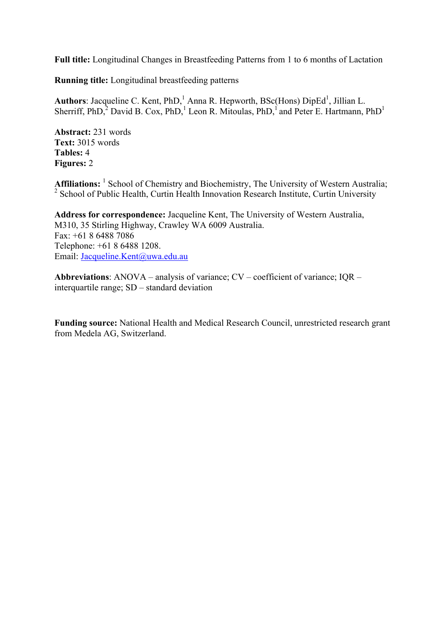**Full title:** Longitudinal Changes in Breastfeeding Patterns from 1 to 6 months of Lactation

**Running title:** Longitudinal breastfeeding patterns

Authors: Jacqueline C. Kent, PhD,<sup>1</sup> Anna R. Hepworth, BSc(Hons) DipEd<sup>1</sup>, Jillian L. Sherriff, PhD, $^2$  David B. Cox, PhD, $^1$  Leon R. Mitoulas, PhD, $^1$  and Peter E. Hartmann, PhD<sup>1</sup>

**Abstract:** 231 words **Text:** 3015 words **Tables:** 4 **Figures:** 2

Affiliations: <sup>1</sup> School of Chemistry and Biochemistry, The University of Western Australia; <sup>2</sup> School of Public Health, Curtin Health Innovation Research Institute, Curtin University

**Address for correspondence:** Jacqueline Kent, The University of Western Australia, M310, 35 Stirling Highway, Crawley WA 6009 Australia. Fax: +61 8 6488 7086 Telephone: +61 8 6488 1208. Email: Jacqueline.Kent@uwa.edu.au

**Abbreviations**: ANOVA – analysis of variance; CV – coefficient of variance; IQR – interquartile range; SD – standard deviation

**Funding source:** National Health and Medical Research Council, unrestricted research grant from Medela AG, Switzerland.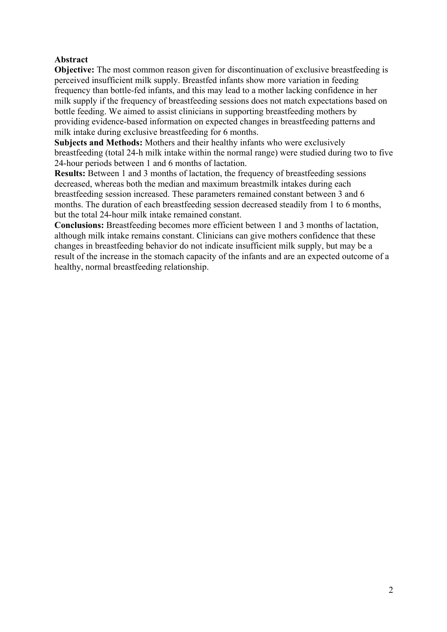# **Abstract**

**Objective:** The most common reason given for discontinuation of exclusive breastfeeding is perceived insufficient milk supply. Breastfed infants show more variation in feeding frequency than bottle-fed infants, and this may lead to a mother lacking confidence in her milk supply if the frequency of breastfeeding sessions does not match expectations based on bottle feeding. We aimed to assist clinicians in supporting breastfeeding mothers by providing evidence-based information on expected changes in breastfeeding patterns and milk intake during exclusive breastfeeding for 6 months.

**Subjects and Methods:** Mothers and their healthy infants who were exclusively breastfeeding (total 24-h milk intake within the normal range) were studied during two to five 24-hour periods between 1 and 6 months of lactation.

**Results:** Between 1 and 3 months of lactation, the frequency of breastfeeding sessions decreased, whereas both the median and maximum breastmilk intakes during each breastfeeding session increased. These parameters remained constant between 3 and 6 months. The duration of each breastfeeding session decreased steadily from 1 to 6 months, but the total 24-hour milk intake remained constant.

**Conclusions:** Breastfeeding becomes more efficient between 1 and 3 months of lactation, although milk intake remains constant. Clinicians can give mothers confidence that these changes in breastfeeding behavior do not indicate insufficient milk supply, but may be a result of the increase in the stomach capacity of the infants and are an expected outcome of a healthy, normal breastfeeding relationship.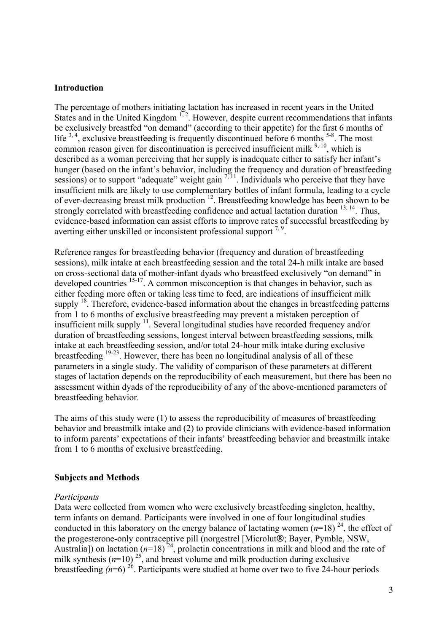#### **Introduction**

The percentage of mothers initiating lactation has increased in recent years in the United States and in the United Kingdom<sup>1,2</sup>. However, despite current recommendations that infants be exclusively breastfed "on demand" (according to their appetite) for the first 6 months of life  $3, 4$ , exclusive breastfeeding is frequently discontinued before 6 months  $5-8$ . The most common reason given for discontinuation is perceived insufficient milk  $9,10$ , which is described as a woman perceiving that her supply is inadequate either to satisfy her infant's hunger (based on the infant's behavior, including the frequency and duration of breastfeeding sessions) or to support "adequate" weight gain  $\frac{7}{11}$ . Individuals who perceive that they have insufficient milk are likely to use complementary bottles of infant formula, leading to a cycle of ever-decreasing breast milk production 12. Breastfeeding knowledge has been shown to be strongly correlated with breastfeeding confidence and actual lactation duration  $13, 14$ . Thus, evidence-based information can assist efforts to improve rates of successful breastfeeding by averting either unskilled or inconsistent professional support  $7,9$ .

Reference ranges for breastfeeding behavior (frequency and duration of breastfeeding sessions), milk intake at each breastfeeding session and the total 24-h milk intake are based on cross-sectional data of mother-infant dyads who breastfeed exclusively "on demand" in developed countries <sup>15-17</sup>. A common misconception is that changes in behavior, such as either feeding more often or taking less time to feed, are indications of insufficient milk supply <sup>18</sup>. Therefore, evidence-based information about the changes in breastfeeding patterns from 1 to 6 months of exclusive breastfeeding may prevent a mistaken perception of insufficient milk supply  $\frac{11}{11}$ . Several longitudinal studies have recorded frequency and/or duration of breastfeeding sessions, longest interval between breastfeeding sessions, milk intake at each breastfeeding session, and/or total 24-hour milk intake during exclusive breastfeeding 19-23. However, there has been no longitudinal analysis of all of these parameters in a single study. The validity of comparison of these parameters at different stages of lactation depends on the reproducibility of each measurement, but there has been no assessment within dyads of the reproducibility of any of the above-mentioned parameters of breastfeeding behavior.

The aims of this study were (1) to assess the reproducibility of measures of breastfeeding behavior and breastmilk intake and (2) to provide clinicians with evidence-based information to inform parents' expectations of their infants' breastfeeding behavior and breastmilk intake from 1 to 6 months of exclusive breastfeeding.

#### **Subjects and Methods**

#### *Participants*

Data were collected from women who were exclusively breastfeeding singleton, healthy, term infants on demand. Participants were involved in one of four longitudinal studies conducted in this laboratory on the energy balance of lactating women  $(n=18)^{24}$ , the effect of the progesterone-only contraceptive pill (norgestrel [Microlut**®**; Bayer, Pymble, NSW, Australia]) on lactation  $(n=18)^{24}$ , prolactin concentrations in milk and blood and the rate of milk synthesis  $(n=10)^{25}$ , and breast volume and milk production during exclusive breastfeeding  $(n=6)^{26}$ . Participants were studied at home over two to five 24-hour periods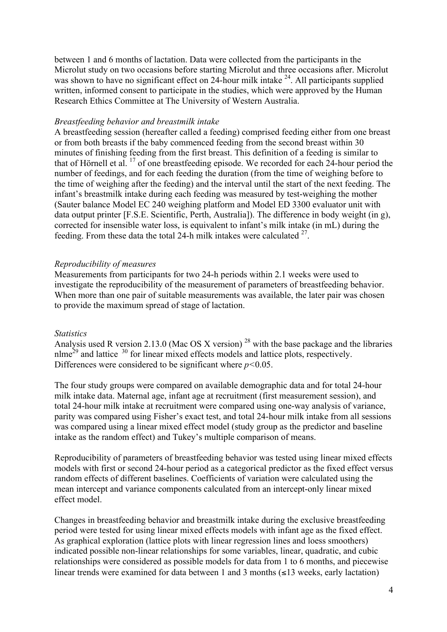between 1 and 6 months of lactation. Data were collected from the participants in the Microlut study on two occasions before starting Microlut and three occasions after. Microlut was shown to have no significant effect on 24-hour milk intake  $24$ . All participants supplied written, informed consent to participate in the studies, which were approved by the Human Research Ethics Committee at The University of Western Australia.

#### *Breastfeeding behavior and breastmilk intake*

A breastfeeding session (hereafter called a feeding) comprised feeding either from one breast or from both breasts if the baby commenced feeding from the second breast within 30 minutes of finishing feeding from the first breast. This definition of a feeding is similar to that of Hörnell et al. <sup>17</sup> of one breastfeeding episode. We recorded for each 24-hour period the number of feedings, and for each feeding the duration (from the time of weighing before to the time of weighing after the feeding) and the interval until the start of the next feeding. The infant's breastmilk intake during each feeding was measured by test-weighing the mother (Sauter balance Model EC 240 weighing platform and Model ED 3300 evaluator unit with data output printer [F.S.E. Scientific, Perth, Australia]). The difference in body weight (in g), corrected for insensible water loss, is equivalent to infant's milk intake (in mL) during the feeding. From these data the total 24-h milk intakes were calculated  $27$ .

## *Reproducibility of measures*

Measurements from participants for two 24-h periods within 2.1 weeks were used to investigate the reproducibility of the measurement of parameters of breastfeeding behavior. When more than one pair of suitable measurements was available, the later pair was chosen to provide the maximum spread of stage of lactation.

## *Statistics*

Analysis used R version 2.13.0 (Mac OS X version)<sup>28</sup> with the base package and the libraries nlme<sup>29</sup> and lattice <sup>30</sup> for linear mixed effects models and lattice plots, respectively. Differences were considered to be significant where *p<*0.05.

The four study groups were compared on available demographic data and for total 24-hour milk intake data. Maternal age, infant age at recruitment (first measurement session), and total 24-hour milk intake at recruitment were compared using one-way analysis of variance, parity was compared using Fisher's exact test, and total 24-hour milk intake from all sessions was compared using a linear mixed effect model (study group as the predictor and baseline intake as the random effect) and Tukey's multiple comparison of means.

Reproducibility of parameters of breastfeeding behavior was tested using linear mixed effects models with first or second 24-hour period as a categorical predictor as the fixed effect versus random effects of different baselines. Coefficients of variation were calculated using the mean intercept and variance components calculated from an intercept-only linear mixed effect model.

Changes in breastfeeding behavior and breastmilk intake during the exclusive breastfeeding period were tested for using linear mixed effects models with infant age as the fixed effect. As graphical exploration (lattice plots with linear regression lines and loess smoothers) indicated possible non-linear relationships for some variables, linear, quadratic, and cubic relationships were considered as possible models for data from 1 to 6 months, and piecewise linear trends were examined for data between 1 and 3 months (≤13 weeks, early lactation)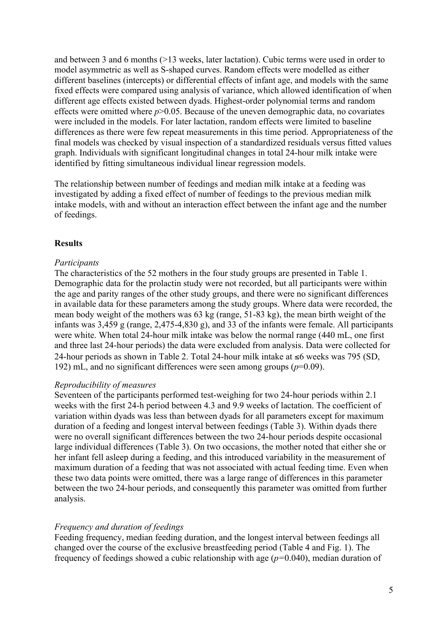and between 3 and 6 months (>13 weeks, later lactation). Cubic terms were used in order to model asymmetric as well as S-shaped curves. Random effects were modelled as either different baselines (intercepts) or differential effects of infant age, and models with the same fixed effects were compared using analysis of variance, which allowed identification of when different age effects existed between dyads. Highest-order polynomial terms and random effects were omitted where  $p > 0.05$ . Because of the uneven demographic data, no covariates were included in the models. For later lactation, random effects were limited to baseline differences as there were few repeat measurements in this time period. Appropriateness of the final models was checked by visual inspection of a standardized residuals versus fitted values graph. Individuals with significant longitudinal changes in total 24-hour milk intake were identified by fitting simultaneous individual linear regression models.

The relationship between number of feedings and median milk intake at a feeding was investigated by adding a fixed effect of number of feedings to the previous median milk intake models, with and without an interaction effect between the infant age and the number of feedings.

## **Results**

#### *Participants*

The characteristics of the 52 mothers in the four study groups are presented in Table 1. Demographic data for the prolactin study were not recorded, but all participants were within the age and parity ranges of the other study groups, and there were no significant differences in available data for these parameters among the study groups. Where data were recorded, the mean body weight of the mothers was 63 kg (range, 51-83 kg), the mean birth weight of the infants was 3,459 g (range, 2,475-4,830 g), and 33 of the infants were female. All participants were white. When total 24-hour milk intake was below the normal range (440 mL, one first and three last 24-hour periods) the data were excluded from analysis. Data were collected for 24-hour periods as shown in Table 2. Total 24-hour milk intake at ≤6 weeks was 795 (SD, 192) mL, and no significant differences were seen among groups (*p*=0.09).

#### *Reproducibility of measures*

Seventeen of the participants performed test-weighing for two 24-hour periods within 2.1 weeks with the first 24-h period between 4.3 and 9.9 weeks of lactation. The coefficient of variation within dyads was less than between dyads for all parameters except for maximum duration of a feeding and longest interval between feedings (Table 3). Within dyads there were no overall significant differences between the two 24-hour periods despite occasional large individual differences (Table 3). On two occasions, the mother noted that either she or her infant fell asleep during a feeding, and this introduced variability in the measurement of maximum duration of a feeding that was not associated with actual feeding time. Even when these two data points were omitted, there was a large range of differences in this parameter between the two 24-hour periods, and consequently this parameter was omitted from further analysis.

## *Frequency and duration of feedings*

Feeding frequency, median feeding duration, and the longest interval between feedings all changed over the course of the exclusive breastfeeding period (Table 4 and Fig. 1). The frequency of feedings showed a cubic relationship with age (*p=*0.040), median duration of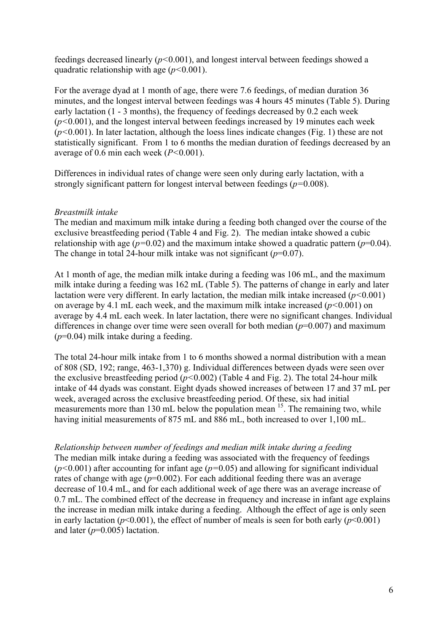feedings decreased linearly (*p<*0.001), and longest interval between feedings showed a quadratic relationship with age (*p<*0.001).

For the average dyad at 1 month of age, there were 7.6 feedings, of median duration 36 minutes, and the longest interval between feedings was 4 hours 45 minutes (Table 5). During early lactation (1 - 3 months), the frequency of feedings decreased by 0.2 each week (*p<*0.001), and the longest interval between feedings increased by 19 minutes each week (*p<*0.001). In later lactation, although the loess lines indicate changes (Fig. 1) these are not statistically significant. From 1 to 6 months the median duration of feedings decreased by an average of 0.6 min each week (*P<*0.001).

Differences in individual rates of change were seen only during early lactation, with a strongly significant pattern for longest interval between feedings (*p=*0.008).

#### *Breastmilk intake*

The median and maximum milk intake during a feeding both changed over the course of the exclusive breastfeeding period (Table 4 and Fig. 2). The median intake showed a cubic relationship with age ( $p=0.02$ ) and the maximum intake showed a quadratic pattern ( $p=0.04$ ). The change in total 24-hour milk intake was not significant  $(p=0.07)$ .

At 1 month of age, the median milk intake during a feeding was 106 mL, and the maximum milk intake during a feeding was 162 mL (Table 5). The patterns of change in early and later lactation were very different. In early lactation, the median milk intake increased (*p<*0.001) on average by 4.1 mL each week, and the maximum milk intake increased (*p<*0.001) on average by 4.4 mL each week. In later lactation, there were no significant changes. Individual differences in change over time were seen overall for both median  $(p=0.007)$  and maximum (*p*=0.04) milk intake during a feeding.

The total 24-hour milk intake from 1 to 6 months showed a normal distribution with a mean of 808 (SD, 192; range, 463-1,370) g. Individual differences between dyads were seen over the exclusive breastfeeding period (*p<*0.002) (Table 4 and Fig. 2). The total 24-hour milk intake of 44 dyads was constant. Eight dyads showed increases of between 17 and 37 mL per week, averaged across the exclusive breastfeeding period. Of these, six had initial measurements more than 130 mL below the population mean  $15$ . The remaining two, while having initial measurements of 875 mL and 886 mL, both increased to over 1,100 mL.

*Relationship between number of feedings and median milk intake during a feeding*  The median milk intake during a feeding was associated with the frequency of feedings (*p<*0.001) after accounting for infant age (*p=*0.05) and allowing for significant individual rates of change with age ( $p=0.002$ ). For each additional feeding there was an average decrease of 10.4 mL, and for each additional week of age there was an average increase of 0.7 mL. The combined effect of the decrease in frequency and increase in infant age explains the increase in median milk intake during a feeding. Although the effect of age is only seen in early lactation ( $p$ <0.001), the effect of number of meals is seen for both early ( $p$ <0.001) and later (*p*=0.005) lactation.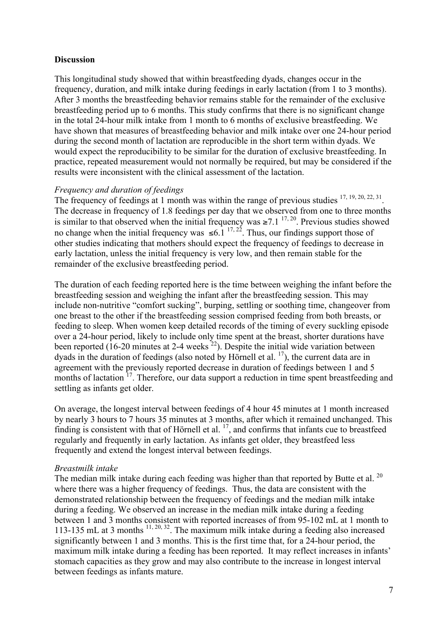## **Discussion**

This longitudinal study showed that within breastfeeding dyads, changes occur in the frequency, duration, and milk intake during feedings in early lactation (from 1 to 3 months). After 3 months the breastfeeding behavior remains stable for the remainder of the exclusive breastfeeding period up to 6 months. This study confirms that there is no significant change in the total 24-hour milk intake from 1 month to 6 months of exclusive breastfeeding. We have shown that measures of breastfeeding behavior and milk intake over one 24-hour period during the second month of lactation are reproducible in the short term within dyads. We would expect the reproducibility to be similar for the duration of exclusive breastfeeding. In practice, repeated measurement would not normally be required, but may be considered if the results were inconsistent with the clinical assessment of the lactation.

## *Frequency and duration of feedings*

The frequency of feedings at 1 month was within the range of previous studies  $17, 19, 20, 22, 31$ . The decrease in frequency of 1.8 feedings per day that we observed from one to three months is similar to that observed when the initial frequency was  $\ge 7.1^{17,20}$ . Previous studies showed no change when the initial frequency was  $\leq 6.1^{17, 22}$ . Thus, our findings support those of other studies indicating that mothers should expect the frequency of feedings to decrease in early lactation, unless the initial frequency is very low, and then remain stable for the remainder of the exclusive breastfeeding period.

The duration of each feeding reported here is the time between weighing the infant before the breastfeeding session and weighing the infant after the breastfeeding session. This may include non-nutritive "comfort sucking", burping, settling or soothing time, changeover from one breast to the other if the breastfeeding session comprised feeding from both breasts, or feeding to sleep. When women keep detailed records of the timing of every suckling episode over a 24-hour period, likely to include only time spent at the breast, shorter durations have been reported (16-20 minutes at 2-4 weeks  $^{22}$ ). Despite the initial wide variation between dyads in the duration of feedings (also noted by Hörnell et al.  $^{17}$ ), the current data are in agreement with the previously reported decrease in duration of feedings between 1 and 5 months of lactation  $17$ . Therefore, our data support a reduction in time spent breastfeeding and settling as infants get older.

On average, the longest interval between feedings of 4 hour 45 minutes at 1 month increased by nearly 3 hours to 7 hours 35 minutes at 3 months, after which it remained unchanged. This finding is consistent with that of Hörnell et al.  $^{17}$ , and confirms that infants cue to breastfeed regularly and frequently in early lactation. As infants get older, they breastfeed less frequently and extend the longest interval between feedings.

# *Breastmilk intake*

The median milk intake during each feeding was higher than that reported by Butte et al.<sup>20</sup> where there was a higher frequency of feedings. Thus, the data are consistent with the demonstrated relationship between the frequency of feedings and the median milk intake during a feeding. We observed an increase in the median milk intake during a feeding between 1 and 3 months consistent with reported increases of from 95-102 mL at 1 month to 113-135 mL at 3 months  $11, 20, 32$ . The maximum milk intake during a feeding also increased significantly between 1 and 3 months. This is the first time that, for a 24-hour period, the maximum milk intake during a feeding has been reported. It may reflect increases in infants' stomach capacities as they grow and may also contribute to the increase in longest interval between feedings as infants mature.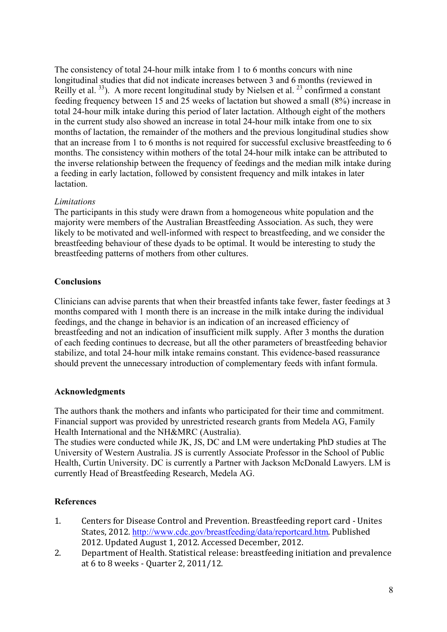The consistency of total 24-hour milk intake from 1 to 6 months concurs with nine longitudinal studies that did not indicate increases between 3 and 6 months (reviewed in Reilly et al.  $33$ ). A more recent longitudinal study by Nielsen et al.  $23$  confirmed a constant feeding frequency between 15 and 25 weeks of lactation but showed a small (8%) increase in total 24-hour milk intake during this period of later lactation. Although eight of the mothers in the current study also showed an increase in total 24-hour milk intake from one to six months of lactation, the remainder of the mothers and the previous longitudinal studies show that an increase from 1 to 6 months is not required for successful exclusive breastfeeding to 6 months. The consistency within mothers of the total 24-hour milk intake can be attributed to the inverse relationship between the frequency of feedings and the median milk intake during a feeding in early lactation, followed by consistent frequency and milk intakes in later **lactation** 

## *Limitations*

The participants in this study were drawn from a homogeneous white population and the majority were members of the Australian Breastfeeding Association. As such, they were likely to be motivated and well-informed with respect to breastfeeding, and we consider the breastfeeding behaviour of these dyads to be optimal. It would be interesting to study the breastfeeding patterns of mothers from other cultures.

# **Conclusions**

Clinicians can advise parents that when their breastfed infants take fewer, faster feedings at 3 months compared with 1 month there is an increase in the milk intake during the individual feedings, and the change in behavior is an indication of an increased efficiency of breastfeeding and not an indication of insufficient milk supply. After 3 months the duration of each feeding continues to decrease, but all the other parameters of breastfeeding behavior stabilize, and total 24-hour milk intake remains constant. This evidence-based reassurance should prevent the unnecessary introduction of complementary feeds with infant formula.

## **Acknowledgments**

The authors thank the mothers and infants who participated for their time and commitment. Financial support was provided by unrestricted research grants from Medela AG, Family Health International and the NH&MRC (Australia).

The studies were conducted while JK, JS, DC and LM were undertaking PhD studies at The University of Western Australia. JS is currently Associate Professor in the School of Public Health, Curtin University. DC is currently a Partner with Jackson McDonald Lawyers. LM is currently Head of Breastfeeding Research, Medela AG.

# **References**

- 1. Centers for Disease Control and Prevention. Breastfeeding report card Unites States, 2012. http://www.cdc.gov/breastfeeding/data/reportcard.htm. Published 2012. Updated August 1, 2012. Accessed December, 2012.
- 2. Department of Health. Statistical release: breastfeeding initiation and prevalence at 6 to 8 weeks - Ouarter 2, 2011/12.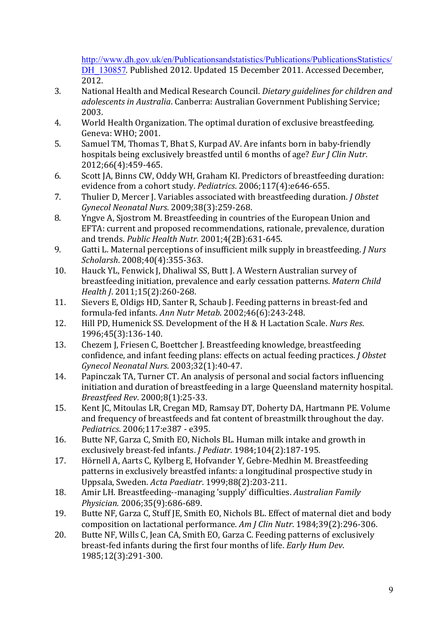http://www.dh.gov.uk/en/Publicationsandstatistics/Publications/PublicationsStatistics/ DH\_130857. Published 2012. Updated 15 December 2011. Accessed December, 2012.

- 3. National Health and Medical Research Council. *Dietary guidelines for children and adolescents in Australia*. Canberra: Australian Government Publishing Service; 2003.
- 4. World Health Organization. The optimal duration of exclusive breastfeeding. Geneva: WHO; 2001.
- 5. Samuel TM, Thomas T, Bhat S, Kurpad AV. Are infants born in baby-friendly hospitals being exclusively breastfed until 6 months of age? *Eur J Clin Nutr*. 2012;66(4):459-465.
- 6. Scott JA, Binns CW, Oddy WH, Graham KI. Predictors of breastfeeding duration: evidence from a cohort study. *Pediatrics*. 2006;117(4):e646-655.
- 7. Thulier D, Mercer J. Variables associated with breastfeeding duration. *J Obstet Gynecol Neonatal Nurs*. 2009;38(3):259-268.
- 8. Yngve A, Siostrom M. Breastfeeding in countries of the European Union and EFTA: current and proposed recommendations, rationale, prevalence, duration and trends. *Public Health Nutr*. 2001;4(2B):631-645.
- 9. Gatti L. Maternal perceptions of insufficient milk supply in breastfeeding. *J Nurs Scholarsh*. 2008;40(4):355-363.
- 10. Hauck YL, Fenwick J, Dhaliwal SS, Butt J. A Western Australian survey of breastfeeding initiation, prevalence and early cessation patterns. Matern Child *Health J.* 2011;15(2):260-268.
- 11. Sievers E, Oldigs HD, Santer R, Schaub J. Feeding patterns in breast-fed and formula-fed infants. Ann Nutr Metab. 2002;46(6):243-248.
- 12. Hill PD, Humenick SS. Development of the H & H Lactation Scale. *Nurs Res.* 1996;45(3):136-140.
- 13. Chezem J, Friesen C, Boettcher J. Breastfeeding knowledge, breastfeeding confidence, and infant feeding plans: effects on actual feeding practices. *J Obstet Gynecol Neonatal Nurs*. 2003;32(1):40-47.
- 14. Papinczak TA, Turner CT. An analysis of personal and social factors influencing initiation and duration of breastfeeding in a large Queensland maternity hospital. *Breastfeed Rev*. 2000;8(1):25-33.
- 15. Kent JC, Mitoulas LR, Cregan MD, Ramsay DT, Doherty DA, Hartmann PE. Volume and frequency of breastfeeds and fat content of breastmilk throughout the day. *Pediatrics*. 2006;117:e387 - e395.
- 16. Butte NF, Garza C, Smith EO, Nichols BL, Human milk intake and growth in exclusively breast-fed infants. *I Pediatr*. 1984:104(2):187-195.
- 17. Hörnell A, Aarts C, Kylberg E, Hofvander Y, Gebre-Medhin M. Breastfeeding patterns in exclusively breastfed infants: a longitudinal prospective study in Uppsala, Sweden. *Acta Paediatr*. 1999;88(2):203-211.
- 18. Amir LH. Breastfeeding--managing 'supply' difficulties. *Australian Family Physician*. 2006;35(9):686-689.
- 19. Butte NF, Garza C, Stuff JE, Smith EO, Nichols BL. Effect of maternal diet and body composition on lactational performance. *Am J Clin Nutr*. 1984;39(2):296-306.
- 20. Butte NF, Wills C, Jean CA, Smith EO, Garza C. Feeding patterns of exclusively breast-fed infants during the first four months of life. *Early Hum Dev*. 1985;12(3):291-300.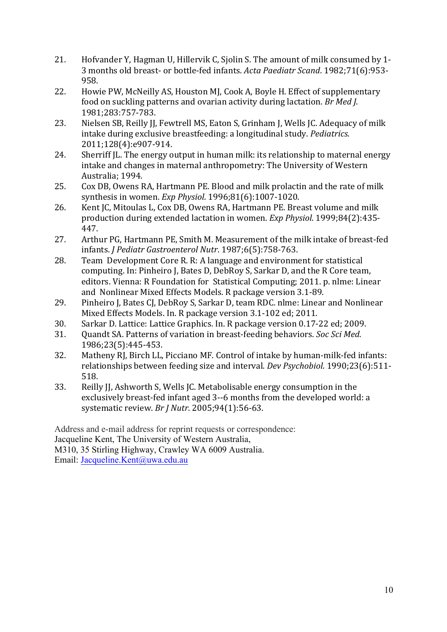- 21. Hofvander Y, Hagman U, Hillervik C, Sjolin S. The amount of milk consumed by 1-3 months old breast- or bottle-fed infants. *Acta Paediatr Scand*. 1982;71(6):953- 958.
- 22. Howie PW, McNeilly AS, Houston MJ, Cook A, Boyle H. Effect of supplementary food on suckling patterns and ovarian activity during lactation. *Br Med J.* 1981;283:757-783.
- 23. Nielsen SB, Reilly JJ, Fewtrell MS, Eaton S, Grinham J, Wells JC. Adequacy of milk intake during exclusive breastfeeding: a longitudinal study. *Pediatrics*. 2011;128(4):e907-914.
- 24. Sherriff IL. The energy output in human milk: its relationship to maternal energy intake and changes in maternal anthropometry: The University of Western Australia; 1994.
- 25. Cox DB, Owens RA, Hartmann PE. Blood and milk prolactin and the rate of milk synthesis in women. *Exp Physiol*. 1996;81(6):1007-1020.
- 26. Kent JC, Mitoulas L, Cox DB, Owens RA, Hartmann PE. Breast volume and milk production during extended lactation in women. *Exp Physiol*. 1999;84(2):435-447.
- 27. Arthur PG, Hartmann PE, Smith M. Measurement of the milk intake of breast-fed infants. *J Pediatr Gastroenterol Nutr*. 1987;6(5):758-763.
- 28. Team Development Core R. R: A language and environment for statistical computing. In: Pinheiro J, Bates D, DebRoy S, Sarkar D, and the R Core team, editors. Vienna: R Foundation for Statistical Computing; 2011. p. nlme: Linear and Nonlinear Mixed Effects Models. R package version 3.1-89.
- 29. Pinheiro J, Bates CJ, DebRoy S, Sarkar D, team RDC. nlme: Linear and Nonlinear Mixed Effects Models. In. R package version 3.1-102 ed; 2011.
- 30. Sarkar D. Lattice: Lattice Graphics. In. R package version 0.17-22 ed; 2009.
- 31. Ouandt SA. Patterns of variation in breast-feeding behaviors. *Soc Sci Med.* 1986;23(5):445-453.
- 32. Matheny RJ, Birch LL, Picciano MF. Control of intake by human-milk-fed infants: relationships between feeding size and interval. *Dev Psychobiol*. 1990;23(6):511-518.
- 33. Reilly II, Ashworth S, Wells IC. Metabolisable energy consumption in the exclusively breast-fed infant aged 3--6 months from the developed world: a systematic review. *Br J Nutr.* 2005;94(1):56-63.

Address and e-mail address for reprint requests or correspondence: Jacqueline Kent, The University of Western Australia, M310, 35 Stirling Highway, Crawley WA 6009 Australia. Email: Jacqueline.Kent@uwa.edu.au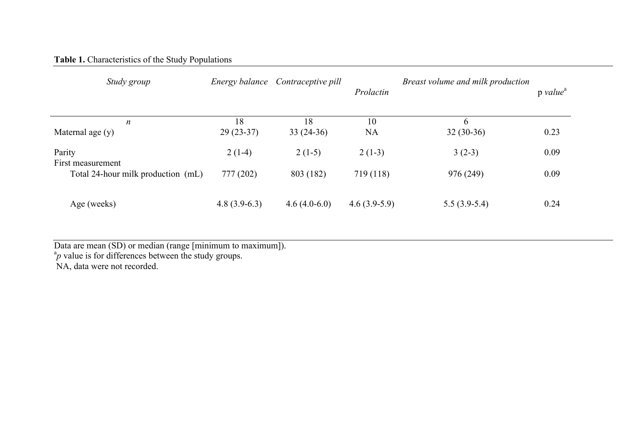# **Table 1.** Characteristics of the Study Populations

| Study group                                                       |                       | Energy balance Contraceptive pill | Prolactin             | Breast volume and milk production | $p$ value <sup><math>a</math></sup> |
|-------------------------------------------------------------------|-----------------------|-----------------------------------|-----------------------|-----------------------------------|-------------------------------------|
| $\boldsymbol{n}$<br>Maternal age $(y)$                            | 18<br>$29(23-37)$     | 18<br>$33(24-36)$                 | 10<br><b>NA</b>       | 6<br>$32(30-36)$                  | 0.23                                |
| Parity<br>First measurement<br>Total 24-hour milk production (mL) | $2(1-4)$<br>777 (202) | $2(1-5)$<br>803 (182)             | $2(1-3)$<br>719 (118) | $3(2-3)$<br>976 (249)             | 0.09<br>0.09                        |
| Age (weeks)                                                       | $4.8(3.9-6.3)$        | $4.6(4.0-6.0)$                    | $4.6(3.9-5.9)$        | $5.5(3.9-5.4)$                    | 0.24                                |

Data are mean (SD) or median (range [minimum to maximum]). <sup>a</sup>*p* value is for differences between the study groups.

NA, data were not recorded.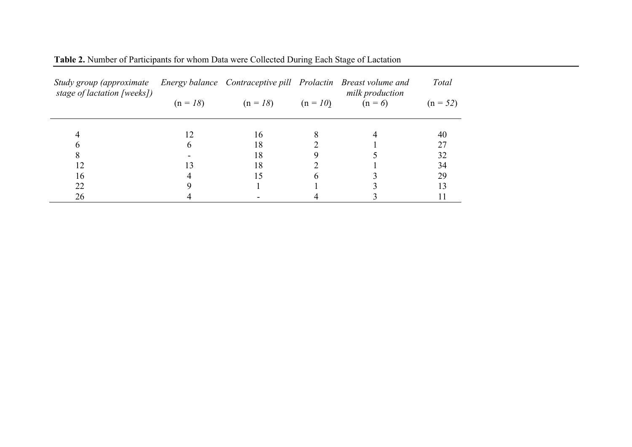| Study group (approximate<br>stage of lactation [weeks]) |            |                       | Energy balance Contraceptive pill Prolactin Breast volume and<br>milk production | <b>Total</b> |
|---------------------------------------------------------|------------|-----------------------|----------------------------------------------------------------------------------|--------------|
|                                                         | $(n = 18)$ | $(n = 18)$ $(n = 10)$ | $(n=6)$                                                                          | $(n = 52)$   |
|                                                         |            | 16                    |                                                                                  | 40           |
|                                                         |            | 18                    |                                                                                  |              |
|                                                         |            | 18                    |                                                                                  | 32           |
| 12                                                      |            | 18                    |                                                                                  | 34           |
| 16                                                      |            |                       |                                                                                  | 29           |
| 22                                                      |            |                       |                                                                                  |              |
| 26                                                      |            |                       |                                                                                  |              |

**Table 2.** Number of Participants for whom Data were Collected During Each Stage of Lactation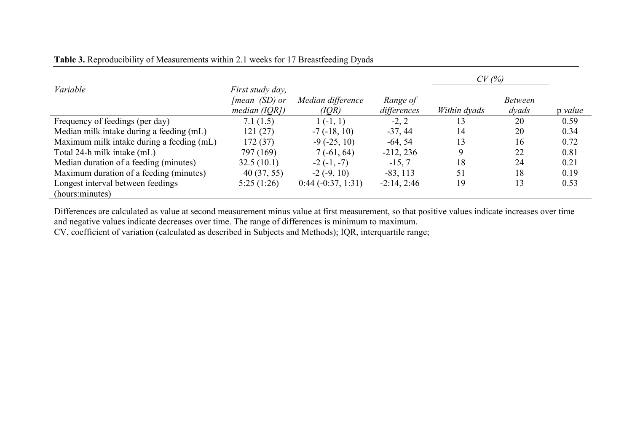|                                                      |                                                      |                            |                         | CV(%)        |                         |         |
|------------------------------------------------------|------------------------------------------------------|----------------------------|-------------------------|--------------|-------------------------|---------|
| Variable                                             | First study day,<br>[mean (SD) or<br>median $(IORI)$ | Median difference<br>(IQR) | Range of<br>differences | Within dyads | <i>Between</i><br>dvads | p value |
| Frequency of feedings (per day)                      | 7.1(1.5)                                             | $1(-1, 1)$                 | $-2, 2$                 | 3            | 20                      | 0.59    |
| Median milk intake during a feeding (mL)             | 121(27)                                              | $-7(-18, 10)$              | $-37, 44$               | 14           | 20                      | 0.34    |
| Maximum milk intake during a feeding (mL)            | 172(37)                                              | $-9(-25, 10)$              | $-64, 54$               | 13           | 16                      | 0.72    |
| Total 24-h milk intake (mL)                          | 797 (169)                                            | $7(-61, 64)$               | $-212, 236$             |              | 22                      | 0.81    |
| Median duration of a feeding (minutes)               | 32.5(10.1)                                           | $-2(-1, -7)$               | $-15, 7$                | 18           | 24                      | 0.21    |
| Maximum duration of a feeding (minutes)              | 40(37, 55)                                           | $-2(-9, 10)$               | $-83, 113$              | 51           | 18                      | 0.19    |
| Longest interval between feedings<br>(hours:minutes) | 5:25(1:26)                                           | $0:44(-0:37, 1:31)$        | $-2:14, 2:46$           | 19           | 13                      | 0.53    |

# **Table 3.** Reproducibility of Measurements within 2.1 weeks for 17 Breastfeeding Dyads

Differences are calculated as value at second measurement minus value at first measurement, so that positive values indicate increases over time and negative values indicate decreases over time. The range of differences is minimum to maximum.

CV, coefficient of variation (calculated as described in Subjects and Methods); IQR, interquartile range;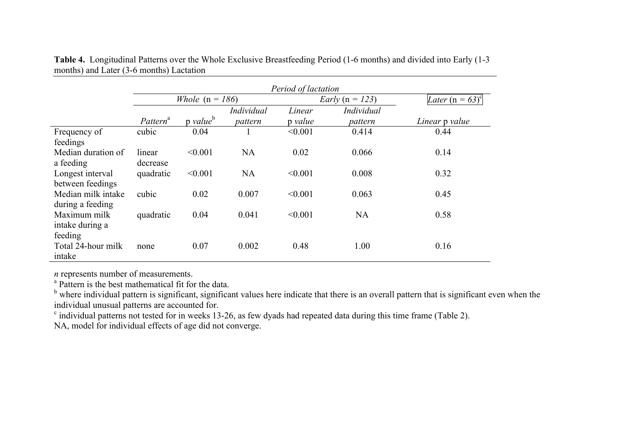|                                            | Period of lactation      |                      |                       |                   |                              |                    |
|--------------------------------------------|--------------------------|----------------------|-----------------------|-------------------|------------------------------|--------------------|
|                                            | <i>Whole</i> $(n = 186)$ |                      |                       |                   | <i>Early</i> ( $n = 123$ )   | Later $(n = 63)^c$ |
|                                            | Pattern <sup>a</sup>     | p value <sup>b</sup> | Individual<br>pattern | Linear<br>p value | <i>Individual</i><br>pattern | Linear p value     |
| Frequency of<br>feedings                   | cubic                    | 0.04                 |                       | < 0.001           | 0.414                        | 0.44               |
| Median duration of<br>a feeding            | linear<br>decrease       | < 0.001              | <b>NA</b>             | 0.02              | 0.066                        | 0.14               |
| Longest interval<br>between feedings       | quadratic                | < 0.001              | <b>NA</b>             | < 0.001           | 0.008                        | 0.32               |
| Median milk intake<br>during a feeding     | cubic                    | 0.02                 | 0.007                 | < 0.001           | 0.063                        | 0.45               |
| Maximum milk<br>intake during a<br>feeding | quadratic                | 0.04                 | 0.041                 | < 0.001           | <b>NA</b>                    | 0.58               |
| Total 24-hour milk<br>intake               | none                     | 0.07                 | 0.002                 | 0.48              | 1.00                         | 0.16               |

**Table 4.** Longitudinal Patterns over the Whole Exclusive Breastfeeding Period (1-6 months) and divided into Early (1-3 months) and Later (3-6 months) Lactation

*n* represents number of measurements.<br><sup>a</sup> Pattern is the best mathematical fit for the data.<br><sup>b</sup> where individual pattern is significant, significant values here indicate that there is an overall pattern that is signific individual unusual patterns are accounted for.

 $\degree$  individual patterns not tested for in weeks 13-26, as few dyads had repeated data during this time frame (Table 2).

NA, model for individual effects of age did not converge.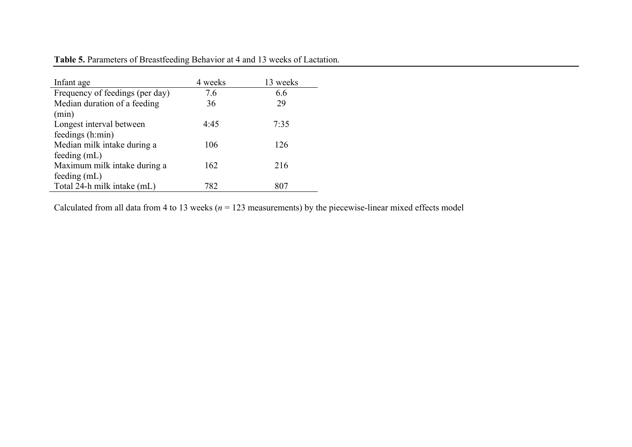| Infant age                      | 4 weeks | 13 weeks |
|---------------------------------|---------|----------|
| Frequency of feedings (per day) | 7.6     | 6.6      |
| Median duration of a feeding    | 36      | 29       |
| (min)                           |         |          |
| Longest interval between        | 4:45    | 7:35     |
| feedings (h:min)                |         |          |
| Median milk intake during a     | 106     | 126      |
| feeding $(mL)$                  |         |          |
| Maximum milk intake during a    | 162     | 216      |
| feeding $(mL)$                  |         |          |
| Total 24-h milk intake (mL)     | 782     | 807      |

**Table 5.** Parameters of Breastfeeding Behavior at 4 and 13 weeks of Lactation.

Calculated from all data from 4 to 13 weeks ( $n = 123$  measurements) by the piecewise-linear mixed effects model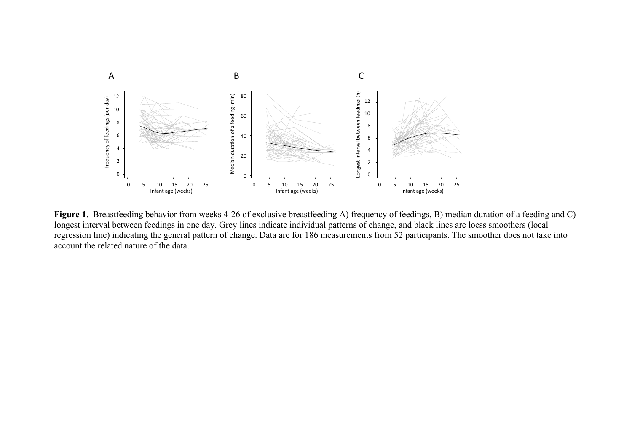

**Figure 1**. Breastfeeding behavior from weeks 4-26 of exclusive breastfeeding A) frequency of feedings, B) median duration of a feeding and C) longest interval between feedings in one day. Grey lines indicate individual patterns of change, and black lines are loess smoothers (local regression line) indicating the general pattern of change. Data are for 186 measurements from 52 participants. The smoother does not take into account the related nature of the data.